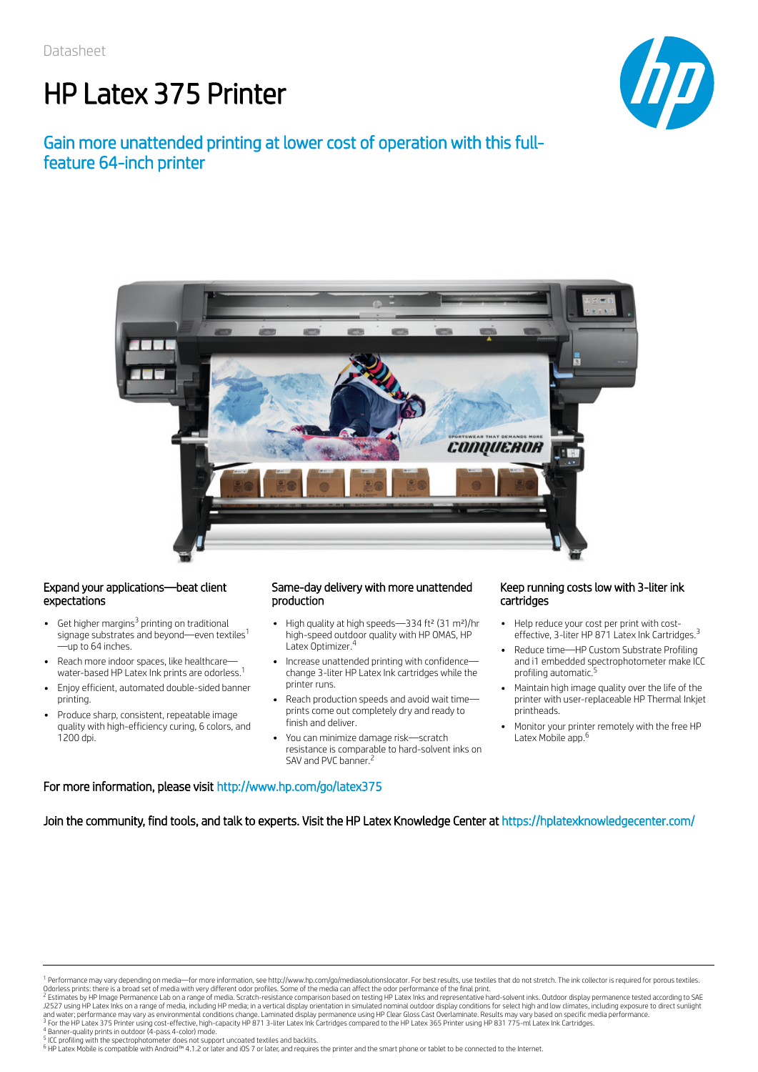# HP Latex 375 Printer

### Gain more unattended printing at lower cost of operation with this fullfeature 64-inch printer



### Expand your applications—beat client expectations

- Get higher margins<sup>3</sup> printing on traditional  $\bullet$ signage substrates and beyond—even textiles 1 —up to 64 inches.
- Reach more indoor spaces, like healthcare water-based HP Latex Ink prints are odorless. 1
- Enjoy efficient, automated double-sided banner printing.
- Produce sharp, consistent, repeatable image quality with high-efficiency curing, 6 colors, and 1200 dpi.

### Same-day delivery with more unattended production

- High quality at high speeds-334 ft<sup>2</sup> (31 m<sup>2</sup>)/hr high-speed outdoor quality with HP OMAS, HP Latex Optimizer. 4
- Increase unattended printing with confidencechange 3-liter HP Latex Ink cartridges while the printer runs.
- Reach production speeds and avoid wait time prints come out completely dry and ready to finish and deliver.
- You can minimize damage risk—scratch resistance is comparable to hard-solvent inks on SAV and PVC banner.<sup>2</sup>

#### Keep running costs low with 3-liter ink cartridges

- $\bullet$ Help reduce your cost per print with costeffective, 3-liter HP 871 Latex Ink Cartridges.<sup>3</sup>
- Reduce time—HP Custom Substrate Profiling and i1 embedded spectrophotometer make ICC profiling automatic. 5
- Maintain high image quality over the life of the printer with user-replaceable HP Thermal Inkjet printheads.
- Monitor your printer remotely with the free HP Latex Mobile app. 6

### For more information, please visit http://www.hp.com/go/latex375

Join the community, find tools, and talk to experts. Visit the HP Latex Knowledge Center at https://hplatexknowledgecenter.com/

<sup>&</sup>lt;sup>1</sup> Performance may vary depending on media—for more information, see http://www.hp.com/go/mediasolutionslocator. For best results, use textiles that do not stretch. The ink collector is required for porous textiles. Odorless prints: there is a broad set of media with very different odor profiles. Some of the media can affect the odor performance of the final print.<br><sup>2</sup> Estimates by HP Image Permanence Lab on a range of media. Scratch-

J2527 using HP Latex Inks on a range of media, including HP media; in a vertical display orientation in simulated nominal outdoor display conditions for select high and low climates, including exposure to direct sunlight<br>a <sup>3</sup> For the HP Latex 375 Printer using cost-effective, high-capacity HP 871 3-liter Latex Ink Cartridges compared to the HP Latex 365 Printer using HP 831 775-ml Latex Ink Cartridges.<br><sup>4</sup> Banner-quality prints in outdoor (

ICC profiling with the spectrophotometer does not support uncoated textiles and backlits.

<sup>6</sup> HP Latex Mobile is compatible with Android™ 4.1.2 or later and iOS 7 or later, and requires the printer and the smart phone or tablet to be connected to the Internet.